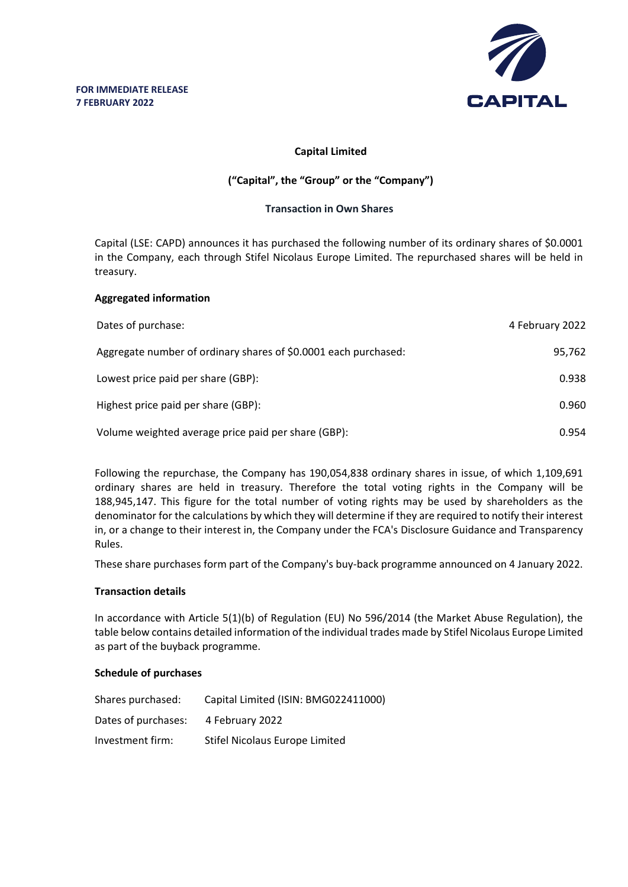

## **Capital Limited**

# **("Capital", the "Group" or the "Company")**

### **Transaction in Own Shares**

Capital (LSE: CAPD) announces it has purchased the following number of its ordinary shares of \$0.0001 in the Company, each through Stifel Nicolaus Europe Limited. The repurchased shares will be held in treasury.

### **Aggregated information**

| Dates of purchase:                                              | 4 February 2022 |
|-----------------------------------------------------------------|-----------------|
| Aggregate number of ordinary shares of \$0.0001 each purchased: | 95.762          |
| Lowest price paid per share (GBP):                              | 0.938           |
| Highest price paid per share (GBP):                             | 0.960           |
| Volume weighted average price paid per share (GBP):             | 0.954           |

Following the repurchase, the Company has 190,054,838 ordinary shares in issue, of which 1,109,691 ordinary shares are held in treasury. Therefore the total voting rights in the Company will be 188,945,147. This figure for the total number of voting rights may be used by shareholders as the denominator for the calculations by which they will determine if they are required to notify their interest in, or a change to their interest in, the Company under the FCA's Disclosure Guidance and Transparency Rules.

These share purchases form part of the Company's buy-back programme announced on 4 January 2022.

#### **Transaction details**

In accordance with Article 5(1)(b) of Regulation (EU) No 596/2014 (the Market Abuse Regulation), the table below contains detailed information of the individual trades made by Stifel Nicolaus Europe Limited as part of the buyback programme.

#### **Schedule of purchases**

| Shares purchased:   | Capital Limited (ISIN: BMG022411000) |
|---------------------|--------------------------------------|
| Dates of purchases: | 4 February 2022                      |
| Investment firm:    | Stifel Nicolaus Europe Limited       |